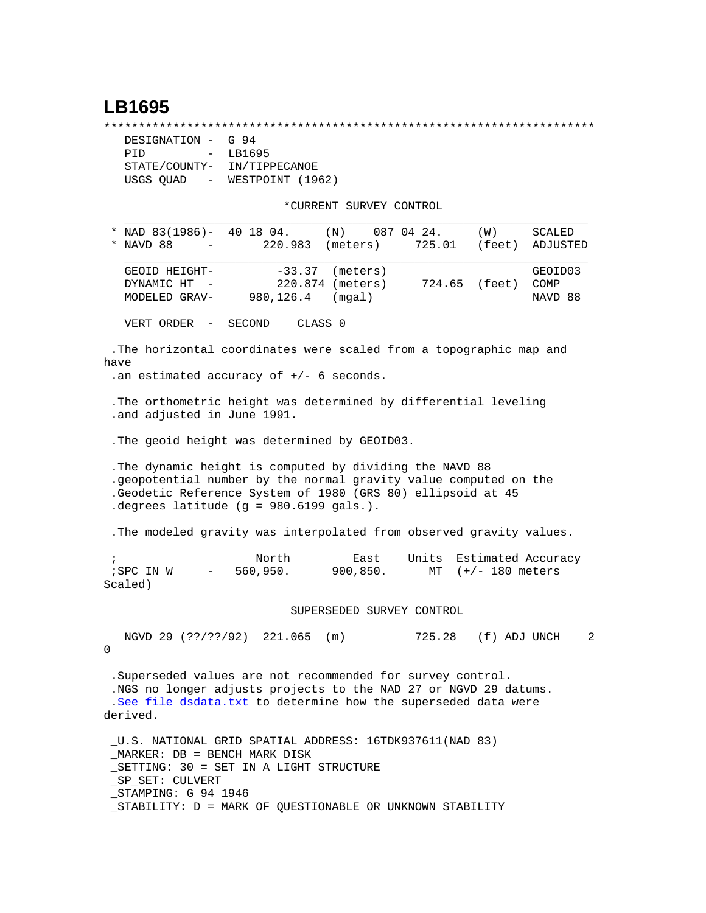## **LB1695**

\*\*\*\*\*\*\*\*\*\*\*\*\*\*\*\*\*\*\*\*\*\*\*\*\*\*\*\*\*\*\*\*\*\*\*\*\*\*\*\*\*\*\*\*\*\*\*\*\*\*\*\*\*\*\*\*\*\*\*\*\*\*\*\*\*\*\*\*\*\*\*

| DESIGNATION - G 94                    |                  |  |
|---------------------------------------|------------------|--|
| PTD<br>$\sim$                         | LB1695           |  |
| STATE/COUNTY-                         | IN/TIPPECANOE    |  |
| USGS OUAD<br>$\alpha_{\rm{max}}=0.01$ | WESTPOINT (1962) |  |

\*CURRENT SURVEY CONTROL

| * NAD $83(1986)$ - 40 18 04.<br>(N)<br>087 04 24.<br>(W)<br>220.983<br>725.01<br>NAVD 88<br>(meters)<br>$\overline{\phantom{m}}$                                                                                                          | SCALED<br>(feet)<br>ADJUSTED |
|-------------------------------------------------------------------------------------------------------------------------------------------------------------------------------------------------------------------------------------------|------------------------------|
| $-33.37$<br>(meters)<br>GEOID HEIGHT-<br>DYNAMIC HT<br>220.874 (meters)<br>724.65 (feet)<br>980,126.4 (mqal)<br>MODELED GRAV-                                                                                                             | GEOID03<br>COMP<br>NAVD 88   |
| CLASS <sub>0</sub><br>VERT ORDER<br>SECOND<br>$\overline{\phantom{a}}$                                                                                                                                                                    |                              |
| The horizontal coordinates were scaled from a topographic map and<br>have<br>.an estimated accuracy of $+/-$ 6 seconds.                                                                                                                   |                              |
| . The orthometric height was determined by differential leveling<br>.and adjusted in June 1991.                                                                                                                                           |                              |
| . The geoid height was determined by GEOID03.                                                                                                                                                                                             |                              |
| . The dynamic height is computed by dividing the NAVD 88<br>.geopotential number by the normal gravity value computed on the<br>.Geodetic Reference System of 1980 (GRS 80) ellipsoid at 45<br>. degrees latitude $(g = 980.6199$ gals.). |                              |
| . The modeled gravity was interpolated from observed gravity values.                                                                                                                                                                      |                              |
| North<br>Units<br>$\ddot{i}$<br>East<br>560,950.<br>; SPC IN W<br>900, 850.<br>MT $(+/- 180$ meters<br>$\alpha \rightarrow \beta \gamma$ and $\beta \rightarrow \beta \gamma$<br>Scaled)                                                  | Estimated Accuracy           |
| SUPERSEDED SURVEY CONTROL                                                                                                                                                                                                                 |                              |
| NGVD 29 (??/??/92) 221.065 (m)<br>725.28 (f) ADJ UNCH<br>0                                                                                                                                                                                | 2                            |
| .Superseded values are not recommended for survey control.<br>.NGS no longer adjusts projects to the NAD 27 or NGVD 29 datums.<br>.See file dsdata.txt to determine how the superseded data were<br>derived.                              |                              |
| U.S. NATIONAL GRID SPATIAL ADDRESS: 16TDK937611(NAD 83)<br>MARKER: DB = BENCH MARK DISK<br>_SETTING: 30 = SET IN A LIGHT STRUCTURE<br>SP SET: CULVERT<br>STAMPING: G 94 1946<br>STABILITY: D = MARK OF QUESTIONABLE OR UNKNOWN STABILITY  |                              |